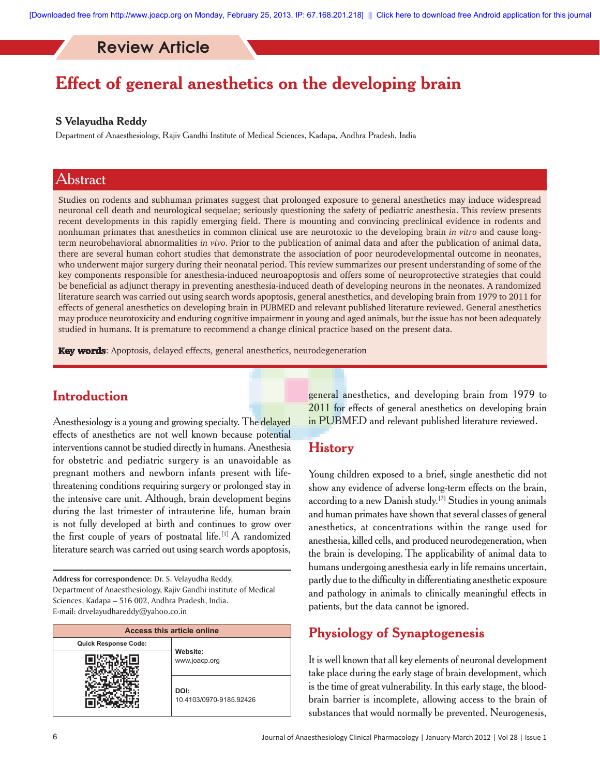# Review Article

# **Effect of general anesthetics on the developing brain**

### **S Velayudha Reddy**

Department of Anaesthesiology, Rajiv Gandhi Institute of Medical Sciences, Kadapa, Andhra Pradesh, India

### Abstract

Studies on rodents and subhuman primates suggest that prolonged exposure to general anesthetics may induce widespread neuronal cell death and neurological sequelae; seriously questioning the safety of pediatric anesthesia. This review presents recent developments in this rapidly emerging field. There is mounting and convincing preclinical evidence in rodents and nonhuman primates that anesthetics in common clinical use are neurotoxic to the developing brain *in vitro* and cause longterm neurobehavioral abnormalities *in vivo*. Prior to the publication of animal data and after the publication of animal data, there are several human cohort studies that demonstrate the association of poor neurodevelopmental outcome in neonates, who underwent major surgery during their neonatal period. This review summarizes our present understanding of some of the key components responsible for anesthesia-induced neuroapoptosis and offers some of neuroprotective strategies that could be beneficial as adjunct therapy in preventing anesthesia-induced death of developing neurons in the neonates. A randomized literature search was carried out using search words apoptosis, general anesthetics, and developing brain from 1979 to 2011 for effects of general anesthetics on developing brain in PUBMED and relevant published literature reviewed. General anesthetics may produce neurotoxicity and enduring cognitive impairment in young and aged animals, but the issue has not been adequately studied in humans. It is premature to recommend a change clinical practice based on the present data.

Key words: Apoptosis, delayed effects, general anesthetics, neurodegeneration

### **Introduction**

Anesthesiology is a young and growing specialty. The delayed effects of anesthetics are not well known because potential interventions cannot be studied directly in humans. Anesthesia for obstetric and pediatric surgery is an unavoidable as pregnant mothers and newborn infants present with lifethreatening conditions requiring surgery or prolonged stay in the intensive care unit. Although, brain development begins during the last trimester of intrauterine life, human brain is not fully developed at birth and continues to grow over the first couple of years of postnatal life.<sup>[1]</sup> A randomized literature search was carried out using search words apoptosis,

**Address for correspondence:** Dr. S. Velayudha Reddy, Department of Anaesthesiology, Rajiv Gandhi institute of Medical Sciences, Kadapa – 516 002, Andhra Pradesh, India. E-mail: drvelayudhareddy@yahoo.co.in

| <b>Access this article online</b> |                                 |
|-----------------------------------|---------------------------------|
| <b>Quick Response Code:</b>       | Website:<br>www.joacp.org       |
|                                   |                                 |
|                                   | DOI:<br>10.4103/0970-9185.92426 |

general anesthetics, and developing brain from 1979 to 2011 for effects of general anesthetics on developing brain in PUBMED and relevant published literature reviewed.

## **History**

Young children exposed to a brief, single anesthetic did not show any evidence of adverse long-term effects on the brain, according to a new Danish study.<sup>[2]</sup> Studies in young animals and human primates have shown that several classes of general anesthetics, at concentrations within the range used for anesthesia, killed cells, and produced neurodegeneration, when the brain is developing. The applicability of animal data to humans undergoing anesthesia early in life remains uncertain, partly due to the difficulty in differentiating anesthetic exposure and pathology in animals to clinically meaningful effects in patients, but the data cannot be ignored.

# **Physiology of Synaptogenesis**

It is well known that all key elements of neuronal development take place during the early stage of brain development, which is the time of great vulnerability. In this early stage, the bloodbrain barrier is incomplete, allowing access to the brain of substances that would normally be prevented. Neurogenesis,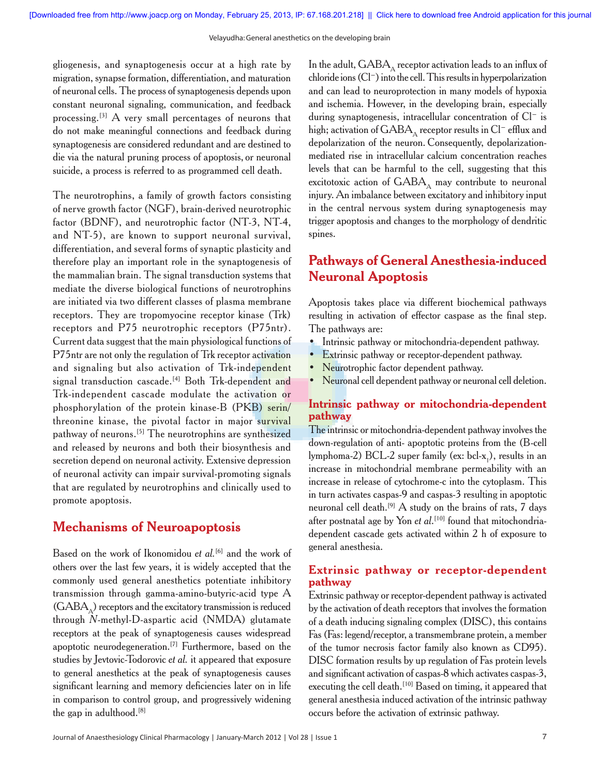gliogenesis, and synaptogenesis occur at a high rate by migration, synapse formation, differentiation, and maturation of neuronal cells. The process of synaptogenesis depends upon constant neuronal signaling, communication, and feedback processing.<sup>[3]</sup> A very small percentages of neurons that do not make meaningful connections and feedback during synaptogenesis are considered redundant and are destined to die via the natural pruning process of apoptosis, or neuronal suicide, a process is referred to as programmed cell death.

The neurotrophins, a family of growth factors consisting of nerve growth factor (NGF), brain-derived neurotrophic factor (BDNF), and neurotrophic factor (NT-3, NT-4, and NT-5), are known to support neuronal survival, differentiation, and several forms of synaptic plasticity and therefore play an important role in the synaptogenesis of the mammalian brain. The signal transduction systems that mediate the diverse biological functions of neurotrophins are initiated via two different classes of plasma membrane receptors. They are tropomyocine receptor kinase (Trk) receptors and P75 neurotrophic receptors (P75ntr). Current data suggest that the main physiological functions of P75ntr are not only the regulation of Trk receptor activation and signaling but also activation of Trk-independent signal transduction cascade.<sup>[4]</sup> Both Trk-dependent and Trk-independent cascade modulate the activation or phosphorylation of the protein kinase-B (PKB) serin/ threonine kinase, the pivotal factor in major survival pathway of neurons.[5] The neurotrophins are synthesized and released by neurons and both their biosynthesis and secretion depend on neuronal activity. Extensive depression of neuronal activity can impair survival-promoting signals that are regulated by neurotrophins and clinically used to promote apoptosis.

### **Mechanisms of Neuroapoptosis**

Based on the work of Ikonomidou *et al.*[6] and the work of others over the last few years, it is widely accepted that the commonly used general anesthetics potentiate inhibitory transmission through gamma-amino-butyric-acid type A  $(GABA<sub>A</sub>)$  receptors and the excitatory transmission is reduced through *N*-methyl-D-aspartic acid (NMDA) glutamate receptors at the peak of synaptogenesis causes widespread apoptotic neurodegeneration.<sup>[7]</sup> Furthermore, based on the studies by Jevtovic-Todorovic *et al.* it appeared that exposure to general anesthetics at the peak of synaptogenesis causes significant learning and memory deficiencies later on in life in comparison to control group, and progressively widening the gap in adulthood.<sup>[8]</sup>

In the adult,  $GABA_{\wedge}$  receptor activation leads to an influx of chloride ions (Cl−) into the cell. This results in hyperpolarization and can lead to neuroprotection in many models of hypoxia and ischemia. However, in the developing brain, especially during synaptogenesis, intracellular concentration of Cl− is high; activation of GABA<sub>∆</sub> receptor results in Cl<sup>−</sup> efflux and depolarization of the neuron. Consequently, depolarizationmediated rise in intracellular calcium concentration reaches levels that can be harmful to the cell, suggesting that this excitotoxic action of  $GABA_A$  may contribute to neuronal injury. An imbalance between excitatory and inhibitory input in the central nervous system during synaptogenesis may trigger apoptosis and changes to the morphology of dendritic spines.

### **Pathways of General Anesthesia-induced Neuronal Apoptosis**

Apoptosis takes place via different biochemical pathways resulting in activation of effector caspase as the final step. The pathways are:

- Intrinsic pathway or mitochondria-dependent pathway.
- **Extrinsic pathway or receptor-dependent pathway.**
- Neurotrophic factor dependent pathway.
- Neuronal cell dependent pathway or neuronal cell deletion.

### **Intrinsic pathway or mitochondria-dependent pathway**

The intrinsic or mitochondria-dependent pathway involves the down-regulation of anti- apoptotic proteins from the (B-cell lymphoma-2) BCL-2 super family (ex: bcl-x<sub>1</sub>), results in an increase in mitochondrial membrane permeability with an increase in release of cytochrome-c into the cytoplasm. This in turn activates caspas-9 and caspas-3 resulting in apoptotic neuronal cell death.<sup>[9]</sup>  $A$  study on the brains of rats,  $7$  days after postnatal age by Yon *et al*. [10] found that mitochondriadependent cascade gets activated within 2 h of exposure to general anesthesia.

### **Extrinsic pathway or receptor-dependent pathway**

Extrinsic pathway or receptor-dependent pathway is activated by the activation of death receptors that involves the formation of a death inducing signaling complex (DISC), this contains Fas (Fas: legend/receptor, a transmembrane protein, a member of the tumor necrosis factor family also known as CD95). DISC formation results by up regulation of Fas protein levels and significant activation of caspas-8 which activates caspas-3, executing the cell death.<sup>[10]</sup> Based on timing, it appeared that general anesthesia induced activation of the intrinsic pathway occurs before the activation of extrinsic pathway.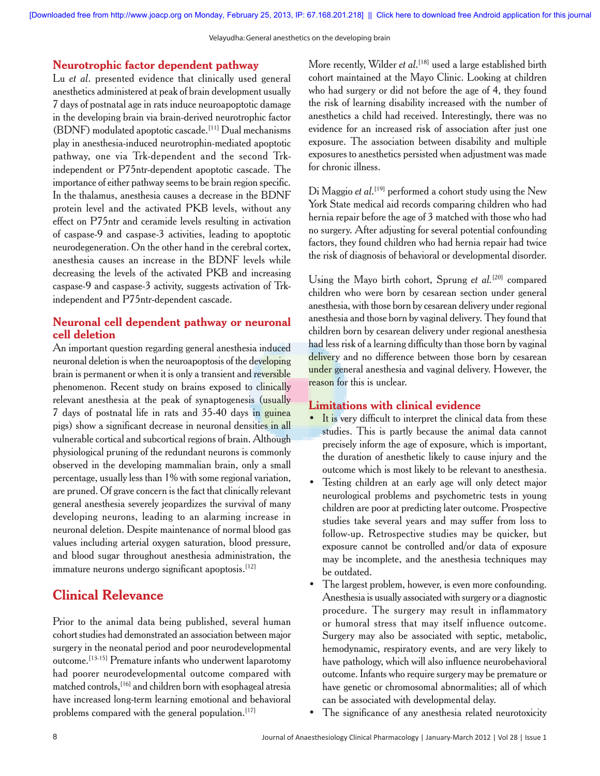#### **Neurotrophic factor dependent pathway**

Lu *et al*. presented evidence that clinically used general anesthetics administered at peak of brain development usually 7 days of postnatal age in rats induce neuroapoptotic damage in the developing brain via brain-derived neurotrophic factor (BDNF) modulated apoptotic cascade.[11] Dual mechanisms play in anesthesia-induced neurotrophin-mediated apoptotic pathway, one via Trk-dependent and the second Trkindependent or P75ntr-dependent apoptotic cascade. The importance of either pathway seems to be brain region specific. In the thalamus, anesthesia causes a decrease in the BDNF protein level and the activated PKB levels, without any effect on P75ntr and ceramide levels resulting in activation of caspase-9 and caspase-3 activities, leading to apoptotic neurodegeneration. On the other hand in the cerebral cortex, anesthesia causes an increase in the BDNF levels while decreasing the levels of the activated PKB and increasing caspase-9 and caspase-3 activity, suggests activation of Trkindependent and P75ntr-dependent cascade.

### **Neuronal cell dependent pathway or neuronal cell deletion**

An important question regarding general anesthesia induced neuronal deletion is when the neuroapoptosis of the developing brain is permanent or when it is only a transient and reversible phenomenon. Recent study on brains exposed to clinically relevant anesthesia at the peak of synaptogenesis (usually 7 days of postnatal life in rats and 35-40 days in guinea pigs) show a significant decrease in neuronal densities in all vulnerable cortical and subcortical regions of brain. Although physiological pruning of the redundant neurons is commonly observed in the developing mammalian brain, only a small percentage, usually less than 1% with some regional variation, are pruned. Of grave concern is the fact that clinically relevant general anesthesia severely jeopardizes the survival of many developing neurons, leading to an alarming increase in neuronal deletion. Despite maintenance of normal blood gas values including arterial oxygen saturation, blood pressure, and blood sugar throughout anesthesia administration, the immature neurons undergo significant apoptosis.<sup>[12]</sup>

### **Clinical Relevance**

Prior to the animal data being published, several human cohort studies had demonstrated an association between major surgery in the neonatal period and poor neurodevelopmental outcome.[13-15] Premature infants who underwent laparotomy had poorer neurodevelopmental outcome compared with matched controls,[16] and children born with esophageal atresia have increased long-term learning emotional and behavioral problems compared with the general population.<sup>[17]</sup>

More recently, Wilder *et al*. [18] used a large established birth cohort maintained at the Mayo Clinic. Looking at children who had surgery or did not before the age of 4, they found the risk of learning disability increased with the number of anesthetics a child had received. Interestingly, there was no evidence for an increased risk of association after just one exposure. The association between disability and multiple exposures to anesthetics persisted when adjustment was made for chronic illness.

Di Maggio *et al*. [19] performed a cohort study using the New York State medical aid records comparing children who had hernia repair before the age of 3 matched with those who had no surgery. After adjusting for several potential confounding factors, they found children who had hernia repair had twice the risk of diagnosis of behavioral or developmental disorder.

Using the Mayo birth cohort, Sprung *et al.*[20] compared children who were born by cesarean section under general anesthesia, with those born by cesarean delivery under regional anesthesia and those born by vaginal delivery. They found that children born by cesarean delivery under regional anesthesia had less risk of a learning difficulty than those born by vaginal delivery and no difference between those born by cesarean under general anesthesia and vaginal delivery. However, the reason for this is unclear.

### **Limitations with clinical evidence**

- It is very difficult to interpret the clinical data from these studies. This is partly because the animal data cannot precisely inform the age of exposure, which is important, the duration of anesthetic likely to cause injury and the outcome which is most likely to be relevant to anesthesia.
- Testing children at an early age will only detect major neurological problems and psychometric tests in young children are poor at predicting later outcome. Prospective studies take several years and may suffer from loss to follow-up. Retrospective studies may be quicker, but exposure cannot be controlled and/or data of exposure may be incomplete, and the anesthesia techniques may be outdated.
- The largest problem, however, is even more confounding. Anesthesia is usually associated with surgery or a diagnostic procedure. The surgery may result in inflammatory or humoral stress that may itself influence outcome. Surgery may also be associated with septic, metabolic, hemodynamic, respiratory events, and are very likely to have pathology, which will also influence neurobehavioral outcome. Infants who require surgery may be premature or have genetic or chromosomal abnormalities; all of which can be associated with developmental delay.
- The significance of any anesthesia related neurotoxicity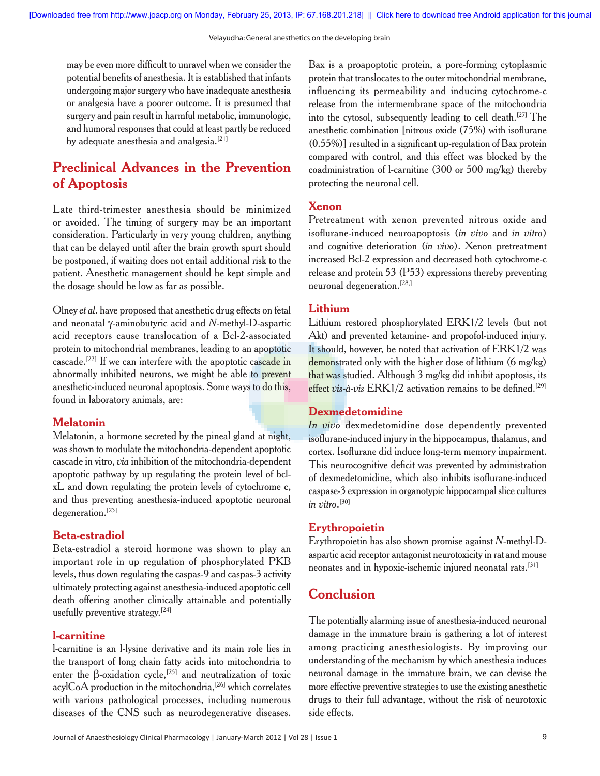may be even more difficult to unravel when we consider the potential benefits of anesthesia. It is established that infants undergoing major surgery who have inadequate anesthesia or analgesia have a poorer outcome. It is presumed that surgery and pain result in harmful metabolic, immunologic, and humoral responses that could at least partly be reduced by adequate anesthesia and analgesia.<sup>[21]</sup>

# **Preclinical Advances in the Prevention of Apoptosis**

Late third-trimester anesthesia should be minimized or avoided. The timing of surgery may be an important consideration. Particularly in very young children, anything that can be delayed until after the brain growth spurt should be postponed, if waiting does not entail additional risk to the patient. Anesthetic management should be kept simple and the dosage should be low as far as possible.

Olney *et al*. have proposed that anesthetic drug effects on fetal and neonatal γ-aminobutyric acid and *N*-methyl-D-aspartic acid receptors cause translocation of a Bcl-2-associated protein to mitochondrial membranes, leading to an apoptotic cascade.<sup>[22]</sup> If we can interfere with the apoptotic cascade in abnormally inhibited neurons, we might be able to prevent anesthetic-induced neuronal apoptosis. Some ways to do this, found in laboratory animals, are:

#### **Melatonin**

Melatonin, a hormone secreted by the pineal gland at night, was shown to modulate the mitochondria-dependent apoptotic cascade in vitro, *via* inhibition of the mitochondria-dependent apoptotic pathway by up regulating the protein level of bclxL and down regulating the protein levels of cytochrome c, and thus preventing anesthesia-induced apoptotic neuronal degeneration.[23]

#### **Beta-estradiol**

Beta-estradiol a steroid hormone was shown to play an important role in up regulation of phosphorylated PKB levels, thus down regulating the caspas-9 and caspas-3 activity ultimately protecting against anesthesia-induced apoptotic cell death offering another clinically attainable and potentially usefully preventive strategy.<sup>[24]</sup>

### **l-carnitine**

l-carnitine is an l-lysine derivative and its main role lies in the transport of long chain fatty acids into mitochondria to enter the  $\beta$ -oxidation cycle,<sup>[25]</sup> and neutralization of toxic acylCoA production in the mitochondria,<sup>[26]</sup> which correlates with various pathological processes, including numerous diseases of the CNS such as neurodegenerative diseases. Bax is a proapoptotic protein, a pore-forming cytoplasmic protein that translocates to the outer mitochondrial membrane, influencing its permeability and inducing cytochrome-c release from the intermembrane space of the mitochondria into the cytosol, subsequently leading to cell death.[27] The anesthetic combination [nitrous oxide (75%) with isoflurane (0.55%)] resulted in a significant up-regulation of Bax protein compared with control, and this effect was blocked by the coadministration of l-carnitine (300 or 500 mg/kg) thereby protecting the neuronal cell.

#### **Xenon**

Pretreatment with xenon prevented nitrous oxide and isoflurane-induced neuroapoptosis (*in vivo* and *in vitro*) and cognitive deterioration (*in vivo*). Xenon pretreatment increased Bcl-2 expression and decreased both cytochrome-c release and protein 53 (P53) expressions thereby preventing neuronal degeneration.[28,]

#### **Lithium**

Lithium restored phosphorylated ERK1/2 levels (but not Akt) and prevented ketamine- and propofol-induced injury. It should, however, be noted that activation of ERK1/2 was demonstrated only with the higher dose of lithium (6 mg/kg) that was studied. Although 3 mg/kg did inhibit apoptosis, its effect *vis-à-vis* ERK1/2 activation remains to be defined.<sup>[29]</sup>

### **Dexmedetomidine**

*In vivo* dexmedetomidine dose dependently prevented isoflurane-induced injury in the hippocampus, thalamus, and cortex. Isoflurane did induce long-term memory impairment. This neurocognitive deficit was prevented by administration of dexmedetomidine, which also inhibits isoflurane-induced caspase-3 expression in organotypic hippocampal slice cultures *in vitro*. [30]

### **Erythropoietin**

Erythropoietin has also shown promise against *N*-methyl-Daspartic acid receptor antagonist neurotoxicity in ratand mouse neonates and in hypoxic-ischemic injured neonatal rats.[31]

### **Conclusion**

The potentially alarming issue of anesthesia-induced neuronal damage in the immature brain is gathering a lot of interest among practicing anesthesiologists. By improving our understanding of the mechanism by which anesthesia induces neuronal damage in the immature brain, we can devise the more effective preventive strategies to use the existing anesthetic drugs to their full advantage, without the risk of neurotoxic side effects.